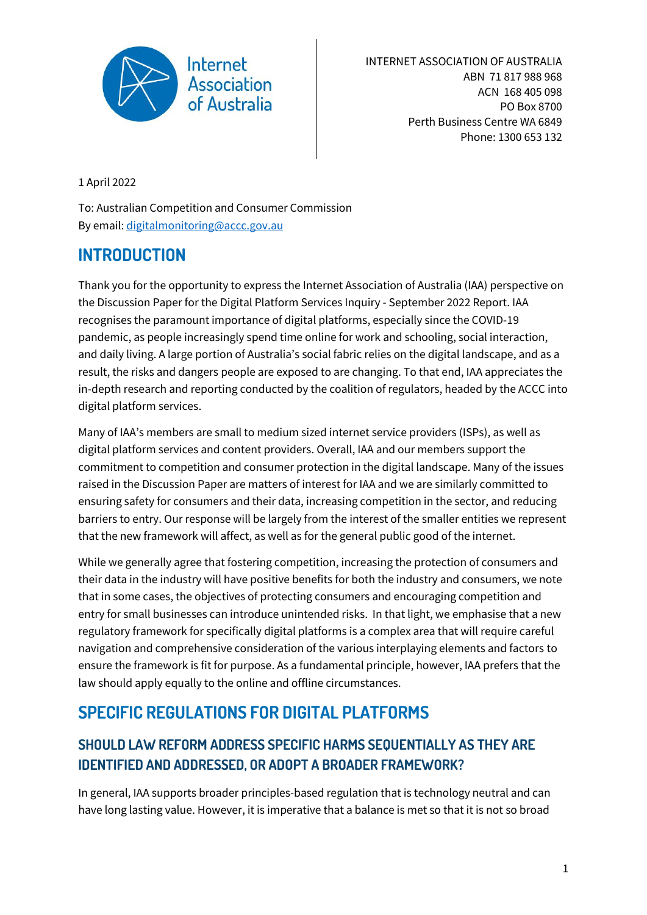

INTERNET ASSOCIATION OF AUSTRALIA ABN 71 817 988 968 ACN 168 405 098 PO Box 8700 Perth Business Centre WA 6849 Phone: 1300 653 132

1 April 2022

To: Australian Competition and Consumer Commission By email[: digitalmonitoring@accc.gov.au](mailto:digitalmonitoring@accc.gov.au)

## **INTRODUCTION**

Thank you for the opportunity to express the Internet Association of Australia (IAA) perspective on the Discussion Paper for the Digital Platform Services Inquiry - September 2022 Report. IAA recognises the paramount importance of digital platforms, especially since the COVID-19 pandemic, as people increasingly spend time online for work and schooling, social interaction, and daily living. A large portion of Australia's social fabric relies on the digital landscape, and as a result, the risks and dangers people are exposed to are changing. To that end, IAA appreciates the in-depth research and reporting conducted by the coalition of regulators, headed by the ACCC into digital platform services.

Many of IAA's members are small to medium sized internet service providers (ISPs), as well as digital platform services and content providers. Overall, IAA and our members support the commitment to competition and consumer protection in the digital landscape. Many of the issues raised in the Discussion Paper are matters of interest for IAA and we are similarly committed to ensuring safety for consumers and their data, increasing competition in the sector, and reducing barriers to entry. Our response will be largely from the interest of the smaller entities we represent that the new framework will affect, as well as for the general public good of the internet.

While we generally agree that fostering competition, increasing the protection of consumers and their data in the industry will have positive benefits for both the industry and consumers, we note that in some cases, the objectives of protecting consumers and encouraging competition and entry for small businesses can introduce unintended risks. In that light, we emphasise that a new regulatory framework for specifically digital platforms is a complex area that will require careful navigation and comprehensive consideration of the various interplaying elements and factors to ensure the framework is fit for purpose. As a fundamental principle, however, IAA prefers that the law should apply equally to the online and offline circumstances.

# **SPECIFIC REGULATIONS FOR DIGITAL PLATFORMS**

### **SHOULD LAW REFORM ADDRESS SPECIFIC HARMS SEQUENTIALLY AS THEY ARE IDENTIFIED AND ADDRESSED, OR ADOPT A BROADER FRAMEWORK?**

In general, IAA supports broader principles-based regulation that is technology neutral and can have long lasting value. However, it is imperative that a balance is met so that it is not so broad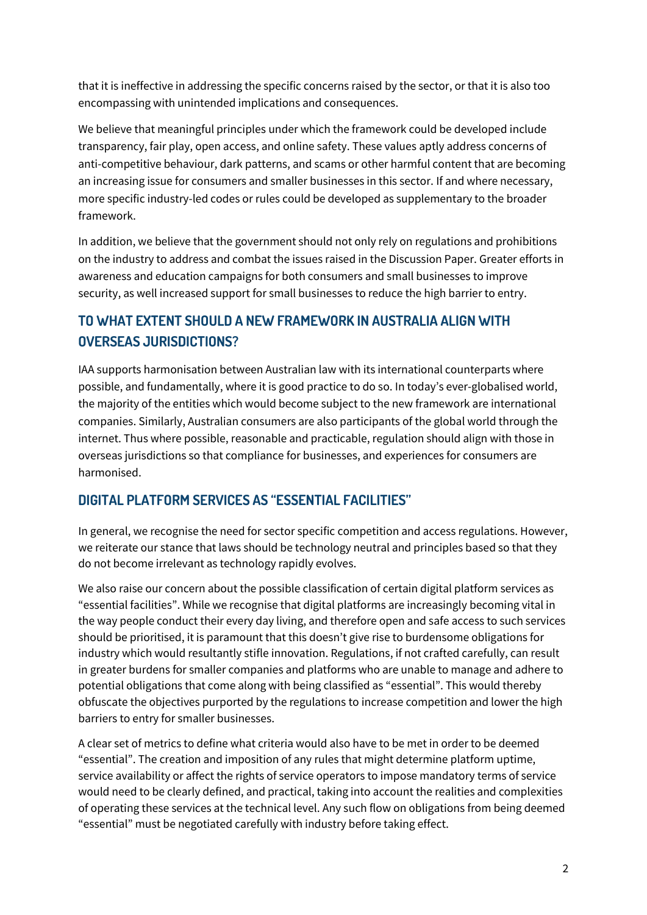that it is ineffective in addressing the specific concerns raised by the sector, or that it is also too encompassing with unintended implications and consequences.

We believe that meaningful principles under which the framework could be developed include transparency, fair play, open access, and online safety. These values aptly address concerns of anti-competitive behaviour, dark patterns, and scams or other harmful content that are becoming an increasing issue for consumers and smaller businesses in this sector. If and where necessary, more specific industry-led codes or rules could be developed as supplementary to the broader framework.

In addition, we believe that the government should not only rely on regulations and prohibitions on the industry to address and combat the issues raised in the Discussion Paper. Greater efforts in awareness and education campaigns for both consumers and small businesses to improve security, as well increased support for small businesses to reduce the high barrier to entry.

### **TO WHAT EXTENT SHOULD A NEW FRAMEWORK IN AUSTRALIA ALIGN WITH OVERSEAS JURISDICTIONS?**

IAA supports harmonisation between Australian law with its international counterparts where possible, and fundamentally, where it is good practice to do so. In today's ever-globalised world, the majority of the entities which would become subject to the new framework are international companies. Similarly, Australian consumers are also participants of the global world through the internet. Thus where possible, reasonable and practicable, regulation should align with those in overseas jurisdictions so that compliance for businesses, and experiences for consumers are harmonised.

#### **DIGITAL PLATFORM SERVICES AS "ESSENTIAL FACILITIES"**

In general, we recognise the need for sector specific competition and access regulations. However, we reiterate our stance that laws should be technology neutral and principles based so that they do not become irrelevant as technology rapidly evolves.

We also raise our concern about the possible classification of certain digital platform services as "essential facilities". While we recognise that digital platforms are increasingly becoming vital in the way people conduct their every day living, and therefore open and safe access to such services should be prioritised, it is paramount that this doesn't give rise to burdensome obligations for industry which would resultantly stifle innovation. Regulations, if not crafted carefully, can result in greater burdens for smaller companies and platforms who are unable to manage and adhere to potential obligations that come along with being classified as "essential". This would thereby obfuscate the objectives purported by the regulations to increase competition and lower the high barriers to entry for smaller businesses.

A clear set of metrics to define what criteria would also have to be met in order to be deemed "essential". The creation and imposition of any rules that might determine platform uptime, service availability or affect the rights of service operators to impose mandatory terms of service would need to be clearly defined, and practical, taking into account the realities and complexities of operating these services at the technical level. Any such flow on obligations from being deemed "essential" must be negotiated carefully with industry before taking effect.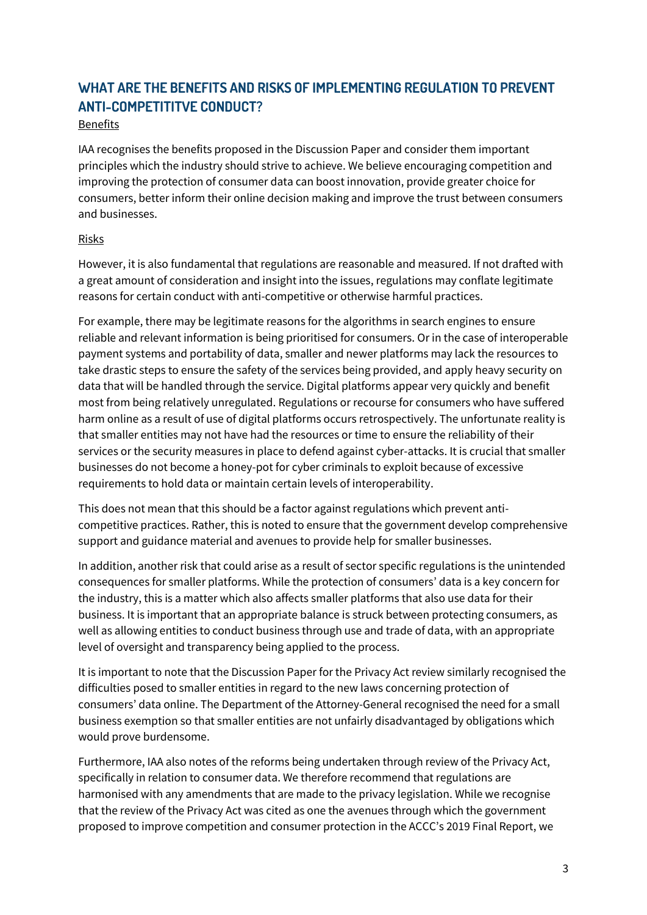### **WHAT ARE THE BENEFITS AND RISKS OF IMPLEMENTING REGULATION TO PREVENT ANTI-COMPETITITVE CONDUCT?**

#### Benefits

IAA recognises the benefits proposed in the Discussion Paper and consider them important principles which the industry should strive to achieve. We believe encouraging competition and improving the protection of consumer data can boost innovation, provide greater choice for consumers, better inform their online decision making and improve the trust between consumers and businesses.

#### Risks

However, it is also fundamental that regulations are reasonable and measured. If not drafted with a great amount of consideration and insight into the issues, regulations may conflate legitimate reasons for certain conduct with anti-competitive or otherwise harmful practices.

For example, there may be legitimate reasons for the algorithms in search engines to ensure reliable and relevant information is being prioritised for consumers. Or in the case of interoperable payment systems and portability of data, smaller and newer platforms may lack the resources to take drastic steps to ensure the safety of the services being provided, and apply heavy security on data that will be handled through the service. Digital platforms appear very quickly and benefit most from being relatively unregulated. Regulations or recourse for consumers who have suffered harm online as a result of use of digital platforms occurs retrospectively. The unfortunate reality is that smaller entities may not have had the resources or time to ensure the reliability of their services or the security measures in place to defend against cyber-attacks. It is crucial that smaller businesses do not become a honey-pot for cyber criminals to exploit because of excessive requirements to hold data or maintain certain levels of interoperability.

This does not mean that this should be a factor against regulations which prevent anticompetitive practices. Rather, this is noted to ensure that the government develop comprehensive support and guidance material and avenues to provide help for smaller businesses.

In addition, another risk that could arise as a result of sector specific regulations is the unintended consequences for smaller platforms. While the protection of consumers' data is a key concern for the industry, this is a matter which also affects smaller platforms that also use data for their business. It is important that an appropriate balance is struck between protecting consumers, as well as allowing entities to conduct business through use and trade of data, with an appropriate level of oversight and transparency being applied to the process.

It is important to note that the Discussion Paper for the Privacy Act review similarly recognised the difficulties posed to smaller entities in regard to the new laws concerning protection of consumers' data online. The Department of the Attorney-General recognised the need for a small business exemption so that smaller entities are not unfairly disadvantaged by obligations which would prove burdensome.

Furthermore, IAA also notes of the reforms being undertaken through review of the Privacy Act, specifically in relation to consumer data. We therefore recommend that regulations are harmonised with any amendments that are made to the privacy legislation. While we recognise that the review of the Privacy Act was cited as one the avenues through which the government proposed to improve competition and consumer protection in the ACCC's 2019 Final Report, we